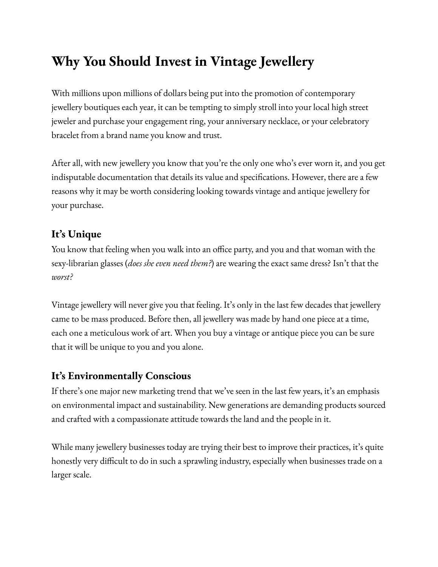# **Why You Should Invest in Vintage Jewellery**

With millions upon millions of dollars being put into the promotion of contemporary jewellery boutiques each year, it can be tempting to simply stroll into your local high street jeweler and purchase your engagement ring, your anniversary necklace, or your celebratory bracelet from a brand name you know and trust.

After all, with new jewellery you know that you're the only one who's ever worn it, and you get indisputable documentation that details its value and specifications. However, there are a few reasons why it may be worth considering looking towards vintage and antique jewellery for your purchase.

## **It's Unique**

You know that feeling when you walk into an office party, and you and that woman with the sexy-librarian glasses (*does she even need them?*) are wearing the exact same dress? Isn't that the *worst?*

Vintage jewellery will never give you that feeling. It's only in the last few decades that jewellery came to be mass produced. Before then, all jewellery was made by hand one piece at a time, each one a meticulous work of art. When you buy a vintage or antique piece you can be sure that it will be unique to you and you alone.

#### **It's Environmentally Conscious**

If there's one major new marketing trend that we've seen in the last few years, it's an emphasis on environmental impact and sustainability. New generations are demanding products sourced and crafted with a compassionate attitude towards the land and the people in it.

While many jewellery businesses today are trying their best to improve their practices, it's quite honestly very difficult to do in such a sprawling industry, especially when businesses trade on a larger scale.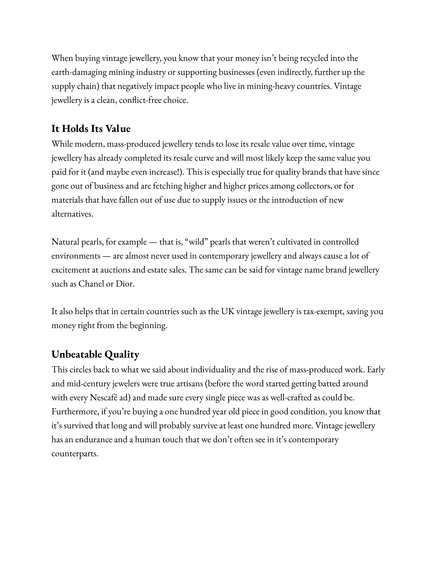When buying vintage jewellery, you know that your money isn't being recycled into the earth-damaging mining industry or supporting businesses (even indirectly, further up the supply chain) that negatively impact people who live in mining-heavy countries. Vintage jewellery is a clean, conflict-free choice.

## **It Holds Its Value**

While modern, mass-produced jewellery tends to lose its resale value over time, vintage jewellery has already completed its resale curve and will most likely keep the same value you paid for it (and maybe even increase!). This is especially true for quality brands that have since gone out of business and are fetching higher and higher prices among collectors, or for materials that have fallen out of use due to supply issues or the introduction of new alternatives.

Natural pearls, for example — that is, "wild" pearls that weren't cultivated in controlled environments — are almost never used in contemporary jewellery and always cause a lot of excitement at auctions and estate sales. The same can be said for vintage name brand jewellery such as Chanel or Dior.

It also helps that in certain countries such as the UK vintage jewellery is tax-exempt, saving you money right from the beginning.

## **Unbeatable Quality**

This circles back to what we said about individuality and the rise of mass-produced work. Early and mid-century jewelers were true artisans (before the word started getting batted around with every Nescafé ad) and made sure every single piece was as well-crafted as could be. Furthermore, if you're buying a one hundred year old piece in good condition, you know that it's survived that long and will probably survive at least one hundred more. Vintage jewellery has an endurance and a human touch that we don't often see in it's contemporary counterparts.